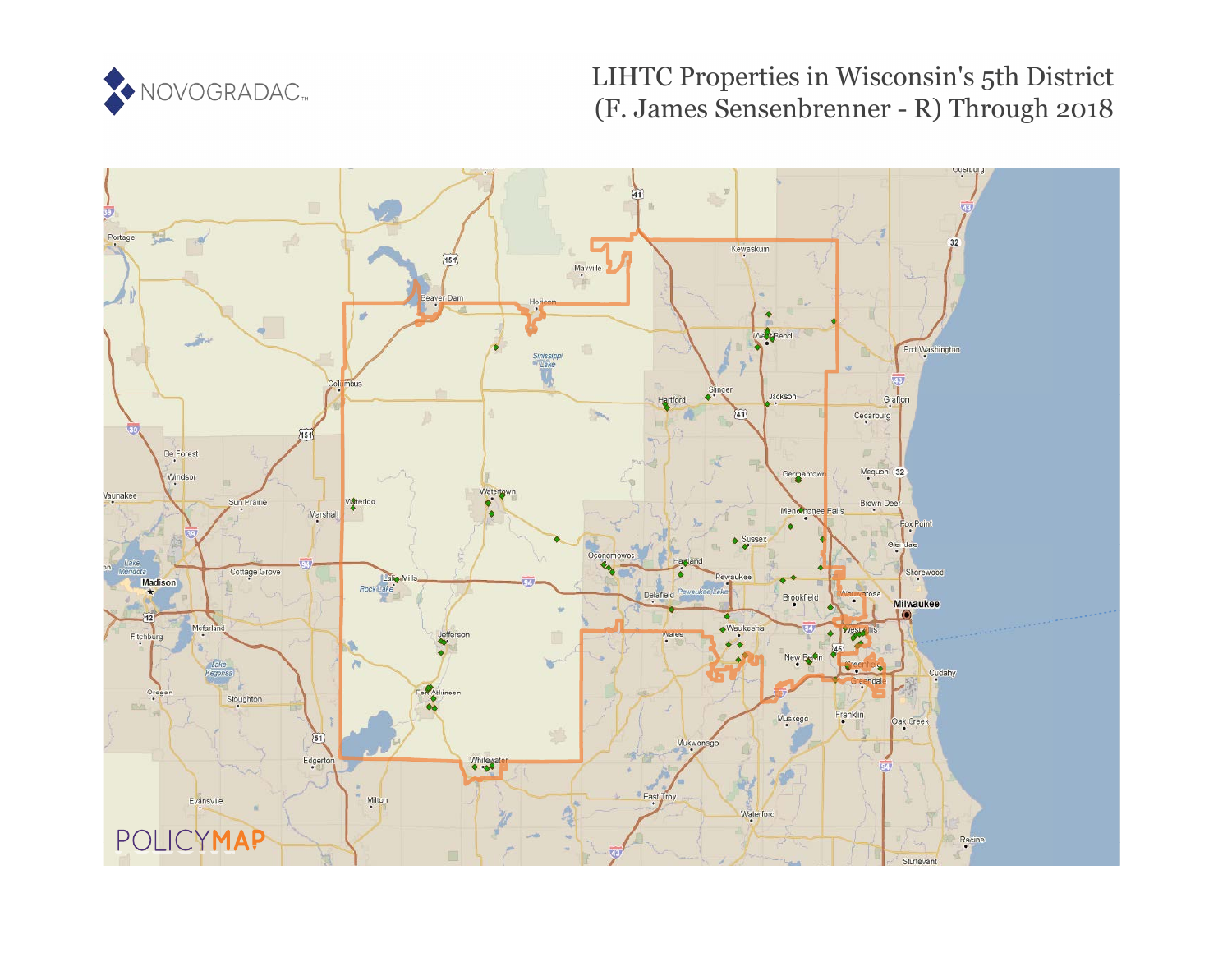

# LIHTC Properties in Wisconsin's 5th District (F. James Sensenbrenner - R) Through 2018

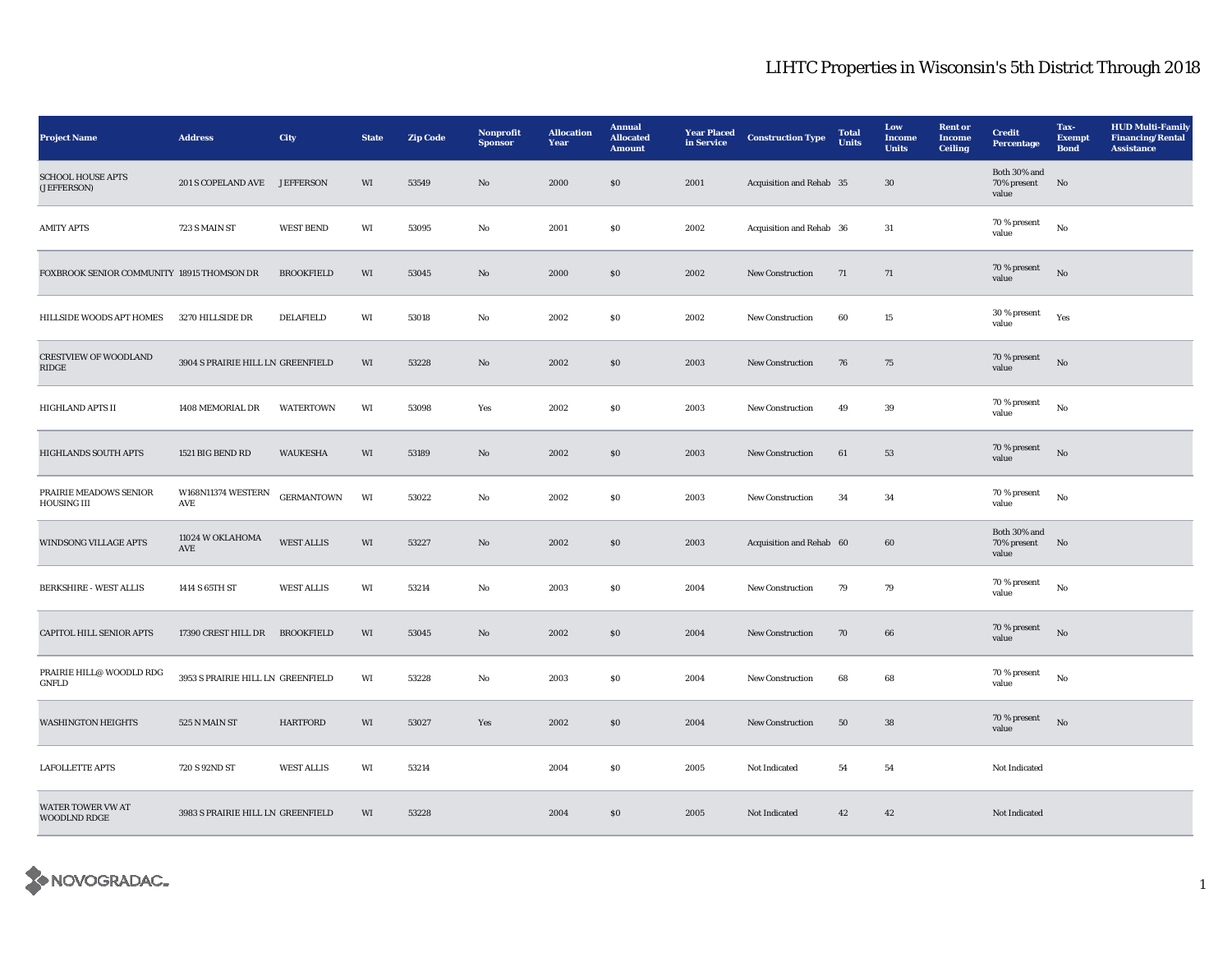| <b>Project Name</b>                          | <b>Address</b>                    | City              | <b>State</b> | <b>Zip Code</b> | Nonprofit<br><b>Sponsor</b> | <b>Allocation</b><br>Year | <b>Annual</b><br><b>Allocated</b><br><b>Amount</b> | <b>Year Placed</b><br>in Service | <b>Construction Type</b> | <b>Total</b><br><b>Units</b> | Low<br>Income<br><b>Units</b> | <b>Rent or</b><br>Income<br><b>Ceiling</b> | <b>Credit</b><br><b>Percentage</b>      | Tax-<br><b>Exempt</b><br><b>Bond</b> | <b>HUD Multi-Family</b><br><b>Financing/Rental</b><br><b>Assistance</b> |
|----------------------------------------------|-----------------------------------|-------------------|--------------|-----------------|-----------------------------|---------------------------|----------------------------------------------------|----------------------------------|--------------------------|------------------------------|-------------------------------|--------------------------------------------|-----------------------------------------|--------------------------------------|-------------------------------------------------------------------------|
| <b>SCHOOL HOUSE APTS</b><br>(JEFFERSON)      | 201 S COPELAND AVE JEFFERSON      |                   | WI           | 53549           | No                          | 2000                      | \$0\$                                              | 2001                             | Acquisition and Rehab 35 |                              | 30                            |                                            | Both 30% and<br>70% present<br>value    | No                                   |                                                                         |
| <b>AMITY APTS</b>                            | 723 S MAIN ST                     | <b>WEST BEND</b>  | WI           | 53095           | No                          | 2001                      | \$0\$                                              | 2002                             | Acquisition and Rehab 36 |                              | 31                            |                                            | 70 % present<br>value                   | No                                   |                                                                         |
| FOXBROOK SENIOR COMMUNITY 18915 THOMSON DR   |                                   | <b>BROOKFIELD</b> | WI           | 53045           | No                          | 2000                      | \$0                                                | 2002                             | <b>New Construction</b>  | 71                           | 71                            |                                            | 70 % present<br>value                   | $\rm No$                             |                                                                         |
| HILLSIDE WOODS APT HOMES                     | 3270 HILLSIDE DR                  | <b>DELAFIELD</b>  | WI           | 53018           | $\mathbf{No}$               | 2002                      | $\$0$                                              | 2002                             | New Construction         | 60                           | $15\,$                        |                                            | 30 % present<br>value                   | Yes                                  |                                                                         |
| <b>CRESTVIEW OF WOODLAND</b><br>RIDGE        | 3904 S PRAIRIE HILL LN GREENFIELD |                   | WI           | 53228           | $\mathbf{N}\mathbf{o}$      | 2002                      | $\$0$                                              | 2003                             | New Construction         | 76                           | 75                            |                                            | 70 % present<br>value                   | No                                   |                                                                         |
| <b>HIGHLAND APTS II</b>                      | 1408 MEMORIAL DR                  | <b>WATERTOWN</b>  | WI           | 53098           | Yes                         | 2002                      | ${\bf S0}$                                         | 2003                             | <b>New Construction</b>  | 49                           | $39\,$                        |                                            | 70 % present<br>value                   | No                                   |                                                                         |
| <b>HIGHLANDS SOUTH APTS</b>                  | 1521 BIG BEND RD                  | <b>WAUKESHA</b>   | WI           | 53189           | No                          | 2002                      | \$0                                                | 2003                             | <b>New Construction</b>  | 61                           | 53                            |                                            | 70 % present<br>value                   | No                                   |                                                                         |
| PRAIRIE MEADOWS SENIOR<br><b>HOUSING III</b> | W168N11374 WESTERN<br>AVE         | <b>GERMANTOWN</b> | WI           | 53022           | No                          | 2002                      | <b>SO</b>                                          | 2003                             | <b>New Construction</b>  | 34                           | 34                            |                                            | 70 % present<br>value                   | $\mathbf{No}$                        |                                                                         |
| WINDSONG VILLAGE APTS                        | 11024 W OKLAHOMA<br>AVE           | <b>WEST ALLIS</b> | WI           | 53227           | No                          | 2002                      | \$0                                                | 2003                             | Acquisition and Rehab 60 |                              | 60                            |                                            | Both $30\%$ and<br>70% present<br>value | No                                   |                                                                         |
| <b>BERKSHIRE - WEST ALLIS</b>                | 1414 S 65TH ST                    | <b>WEST ALLIS</b> | WI           | 53214           | No                          | 2003                      | $\$0$                                              | 2004                             | New Construction         | 79                           | 79                            |                                            | $70$ % present<br>value                 | $_{\rm No}$                          |                                                                         |
| CAPITOL HILL SENIOR APTS                     | 17390 CREST HILL DR               | <b>BROOKFIELD</b> | WI           | 53045           | $\mathbf{N}\mathbf{o}$      | 2002                      | $\$0$                                              | 2004                             | New Construction         | 70                           | 66                            |                                            | 70 % present<br>value                   | No                                   |                                                                         |
| PRAIRIE HILL@ WOODLD RDG<br>GNFLD            | 3953 S PRAIRIE HILL LN GREENFIELD |                   | WI           | 53228           | No                          | 2003                      | $\$0$                                              | 2004                             | <b>New Construction</b>  | 68                           | 68                            |                                            | 70 % present<br>value                   | No                                   |                                                                         |
| <b>WASHINGTON HEIGHTS</b>                    | 525 N MAIN ST                     | <b>HARTFORD</b>   | WI           | 53027           | Yes                         | 2002                      | \$0                                                | 2004                             | <b>New Construction</b>  | 50                           | 38                            |                                            | 70 % present<br>value                   | No                                   |                                                                         |
| <b>LAFOLLETTE APTS</b>                       | 720 S 92ND ST                     | <b>WEST ALLIS</b> | WI           | 53214           |                             | 2004                      | \$0\$                                              | 2005                             | Not Indicated            | 54                           | 54                            |                                            | Not Indicated                           |                                      |                                                                         |
| WATER TOWER VW AT<br>WOODLND RDGE            | 3983 S PRAIRIE HILL LN GREENFIELD |                   | WI           | 53228           |                             | 2004                      | \$0                                                | 2005                             | Not Indicated            | 42                           | 42                            |                                            | Not Indicated                           |                                      |                                                                         |

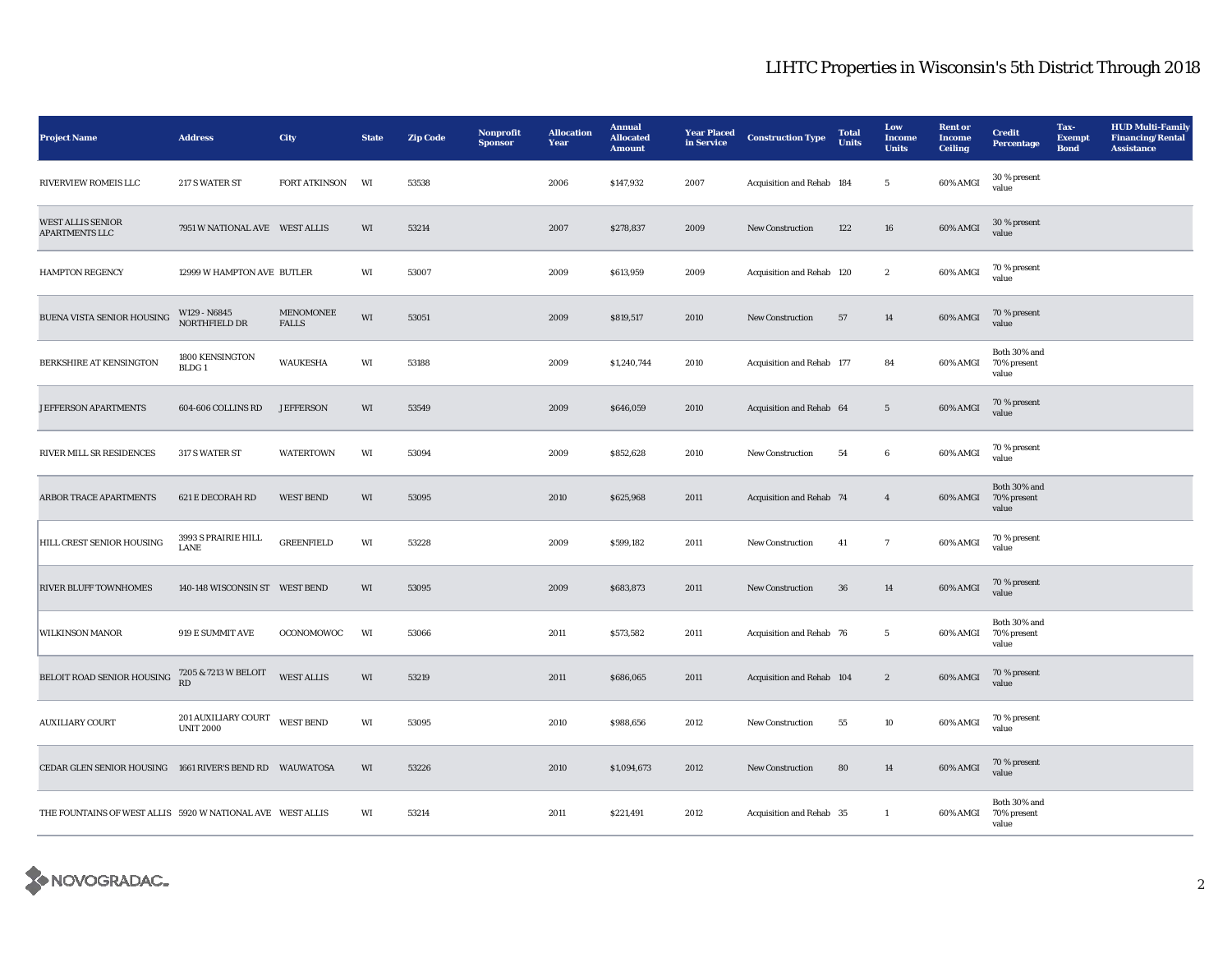| <b>Project Name</b>                                        | <b>Address</b>                          | City                             | <b>State</b> | <b>Zip Code</b> | Nonprofit<br><b>Sponsor</b> | <b>Allocation</b><br>Year | <b>Annual</b><br><b>Allocated</b><br><b>Amount</b> | <b>Year Placed</b><br>in Service | <b>Construction Type</b>  | <b>Total</b><br>Units | Low<br><b>Income</b><br><b>Units</b> | <b>Rent</b> or<br><b>Income</b><br><b>Ceiling</b> | <b>Credit</b><br><b>Percentage</b>   | Tax-<br><b>Exempt</b><br><b>Bond</b> | <b>HUD Multi-Family</b><br><b>Financing/Rental</b><br><b>Assistance</b> |
|------------------------------------------------------------|-----------------------------------------|----------------------------------|--------------|-----------------|-----------------------------|---------------------------|----------------------------------------------------|----------------------------------|---------------------------|-----------------------|--------------------------------------|---------------------------------------------------|--------------------------------------|--------------------------------------|-------------------------------------------------------------------------|
| RIVERVIEW ROMEIS LLC                                       | 217 S WATER ST                          | FORT ATKINSON                    | WI           | 53538           |                             | 2006                      | \$147,932                                          | 2007                             | Acquisition and Rehab 184 |                       | $5\overline{ }$                      | 60% AMGI                                          | 30 % present<br>value                |                                      |                                                                         |
| <b>WEST ALLIS SENIOR</b><br><b>APARTMENTS LLC</b>          | 7951 W NATIONAL AVE WEST ALLIS          |                                  | WI           | 53214           |                             | 2007                      | \$278,837                                          | 2009                             | New Construction          | 122                   | ${\bf 16}$                           | 60% AMGI                                          | 30 % present<br>value                |                                      |                                                                         |
| <b>HAMPTON REGENCY</b>                                     | 12999 W HAMPTON AVE BUTLER              |                                  | WI           | 53007           |                             | 2009                      | \$613,959                                          | 2009                             | Acquisition and Rehab 120 |                       | $\boldsymbol{2}$                     | 60% AMGI                                          | 70 % present<br>value                |                                      |                                                                         |
| BUENA VISTA SENIOR HOUSING                                 | W129 - N6845<br>NORTHFIELD DR           | <b>MENOMONEE</b><br><b>FALLS</b> | WI           | 53051           |                             | 2009                      | \$819,517                                          | 2010                             | New Construction          | 57                    | 14                                   | 60% AMGI                                          | 70 % present<br>value                |                                      |                                                                         |
| BERKSHIRE AT KENSINGTON                                    | 1800 KENSINGTON<br>BLDG <sub>1</sub>    | <b>WAUKESHA</b>                  | WI           | 53188           |                             | 2009                      | \$1,240,744                                        | 2010                             | Acquisition and Rehab 177 |                       | 84                                   | 60% AMGI                                          | Both 30% and<br>70% present<br>value |                                      |                                                                         |
| JEFFERSON APARTMENTS                                       | 604-606 COLLINS RD                      | <b>JEFFERSON</b>                 | WI           | 53549           |                             | 2009                      | \$646,059                                          | 2010                             | Acquisition and Rehab 64  |                       | $5\phantom{.0}$                      | 60% AMGI                                          | 70 % present<br>value                |                                      |                                                                         |
| RIVER MILL SR RESIDENCES                                   | 317 S WATER ST                          | <b>WATERTOWN</b>                 | WI           | 53094           |                             | 2009                      | \$852,628                                          | 2010                             | <b>New Construction</b>   | 54                    | $6\phantom{.0}$                      | 60% AMGI                                          | 70 % present<br>value                |                                      |                                                                         |
| ARBOR TRACE APARTMENTS                                     | <b>621 E DECORAH RD</b>                 | <b>WEST BEND</b>                 | WI           | 53095           |                             | 2010                      | \$625,968                                          | 2011                             | Acquisition and Rehab 74  |                       | $\overline{4}$                       | 60% AMGI                                          | Both 30% and<br>70% present<br>value |                                      |                                                                         |
| HILL CREST SENIOR HOUSING                                  | 3993 S PRAIRIE HILL<br>LANE             | <b>GREENFIELD</b>                | WI           | 53228           |                             | 2009                      | \$599,182                                          | 2011                             | New Construction          | 41                    | $\tau$                               | 60% AMGI                                          | 70 % present<br>value                |                                      |                                                                         |
| <b>RIVER BLUFF TOWNHOMES</b>                               | 140-148 WISCONSIN ST WEST BEND          |                                  | WI           | 53095           |                             | 2009                      | \$683,873                                          | 2011                             | <b>New Construction</b>   | 36                    | 14                                   | 60% AMGI                                          | 70 % present<br>value                |                                      |                                                                         |
| <b>WILKINSON MANOR</b>                                     | 919 E SUMMIT AVE                        | OCONOMOWOC                       | WI           | 53066           |                             | 2011                      | \$573,582                                          | 2011                             | Acquisition and Rehab 76  |                       | $5\phantom{.0}$                      | 60% AMGI                                          | Both 30% and<br>70% present<br>value |                                      |                                                                         |
| BELOIT ROAD SENIOR HOUSING                                 | 7205 & 7213 W BELOIT<br>RD              | <b>WEST ALLIS</b>                | WI           | 53219           |                             | 2011                      | \$686,065                                          | 2011                             | Acquisition and Rehab 104 |                       | $\boldsymbol{2}$                     | 60% AMGI                                          | 70 % present<br>value                |                                      |                                                                         |
| <b>AUXILIARY COURT</b>                                     | 201 AUXILIARY COURT<br><b>UNIT 2000</b> | <b>WEST BEND</b>                 | WI           | 53095           |                             | 2010                      | \$988,656                                          | 2012                             | <b>New Construction</b>   | 55                    | $10\,$                               | 60% AMGI                                          | 70 % present<br>value                |                                      |                                                                         |
| CEDAR GLEN SENIOR HOUSING 1661 RIVER'S BEND RD WAUWATOSA   |                                         |                                  | WI           | 53226           |                             | 2010                      | \$1,094,673                                        | 2012                             | <b>New Construction</b>   | 80                    | 14                                   | 60% AMGI                                          | 70 % present<br>value                |                                      |                                                                         |
| THE FOUNTAINS OF WEST ALLIS 5920 W NATIONAL AVE WEST ALLIS |                                         |                                  | WI           | 53214           |                             | 2011                      | \$221,491                                          | 2012                             | Acquisition and Rehab 35  |                       | $\mathbf{1}$                         | 60% AMGI                                          | Both 30% and<br>70% present<br>value |                                      |                                                                         |

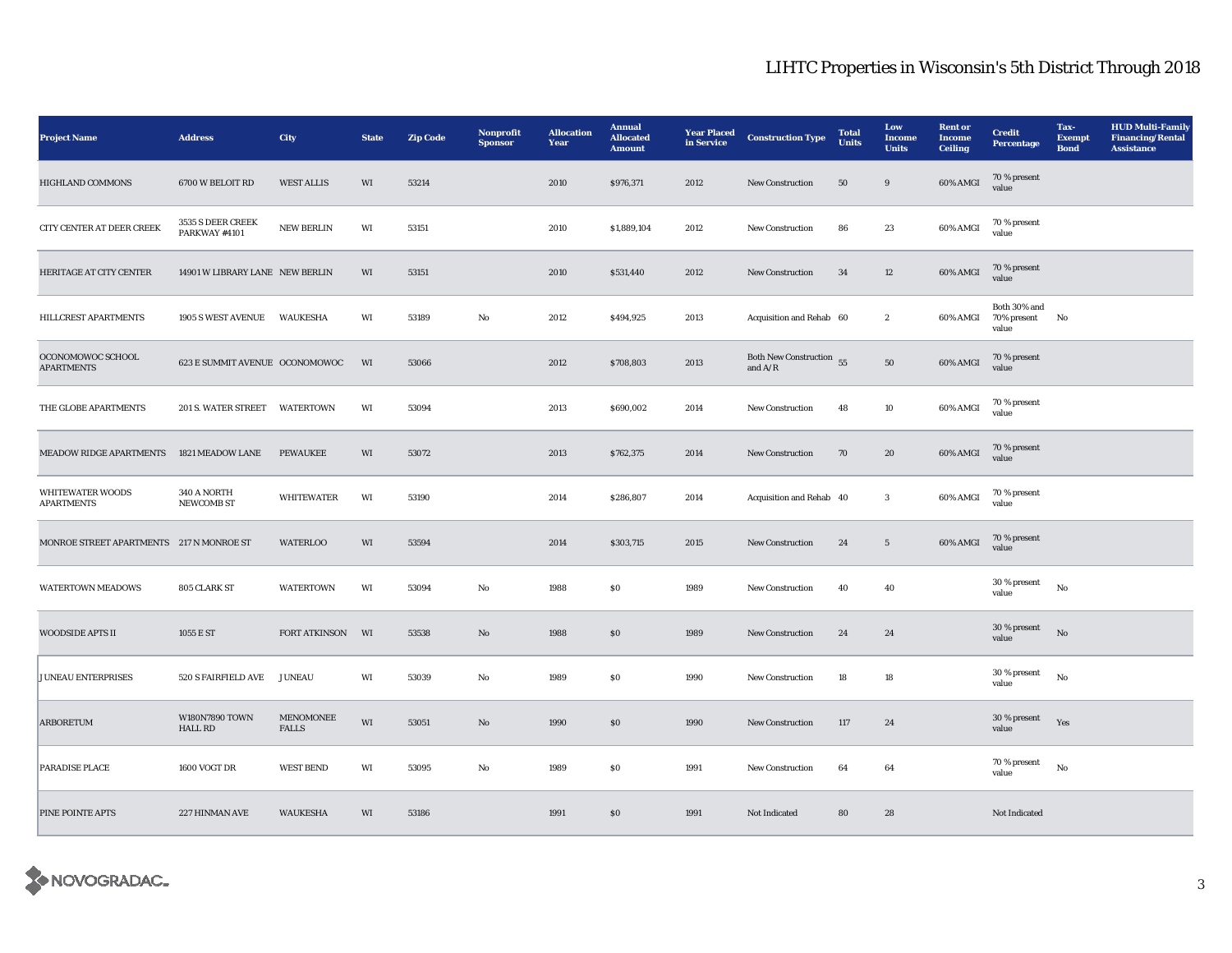| <b>Project Name</b>                          | <b>Address</b>                          | City                       | <b>State</b> | <b>Zip Code</b> | Nonprofit<br><b>Sponsor</b> | <b>Allocation</b><br>Year | <b>Annual</b><br><b>Allocated</b><br><b>Amount</b> | <b>Year Placed</b><br>in Service | <b>Construction Type</b>              | <b>Total</b><br><b>Units</b> | Low<br>Income<br><b>Units</b> | <b>Rent</b> or<br>Income<br><b>Ceiling</b> | <b>Credit</b><br><b>Percentage</b>   | Tax-<br><b>Exempt</b><br><b>Bond</b> | <b>HUD Multi-Family</b><br><b>Financing/Rental</b><br><b>Assistance</b> |
|----------------------------------------------|-----------------------------------------|----------------------------|--------------|-----------------|-----------------------------|---------------------------|----------------------------------------------------|----------------------------------|---------------------------------------|------------------------------|-------------------------------|--------------------------------------------|--------------------------------------|--------------------------------------|-------------------------------------------------------------------------|
| <b>HIGHLAND COMMONS</b>                      | 6700 W BELOIT RD                        | <b>WEST ALLIS</b>          | WI           | 53214           |                             | 2010                      | \$976,371                                          | 2012                             | New Construction                      | 50                           | 9                             | 60% AMGI                                   | 70 % present<br>value                |                                      |                                                                         |
| CITY CENTER AT DEER CREEK                    | 3535 S DEER CREEK<br>PARKWAY #4101      | <b>NEW BERLIN</b>          | WI           | 53151           |                             | 2010                      | \$1,889,104                                        | 2012                             | <b>New Construction</b>               | 86                           | 23                            | 60% AMGI                                   | 70 % present<br>value                |                                      |                                                                         |
| HERITAGE AT CITY CENTER                      | 14901 W LIBRARY LANE NEW BERLIN         |                            | WI           | 53151           |                             | 2010                      | \$531,440                                          | 2012                             | <b>New Construction</b>               | 34                           | 12                            | 60% AMGI                                   | 70 % present<br>value                |                                      |                                                                         |
| HILLCREST APARTMENTS                         | 1905 S WEST AVENUE WAUKESHA             |                            | WI           | 53189           | No                          | 2012                      | \$494,925                                          | 2013                             | Acquisition and Rehab 60              |                              | $\boldsymbol{2}$              | 60% AMGI                                   | Both 30% and<br>70% present<br>value | No                                   |                                                                         |
| OCONOMOWOC SCHOOL<br><b>APARTMENTS</b>       | 623 E SUMMIT AVENUE OCONOMOWOC          |                            | WI           | 53066           |                             | 2012                      | \$708,803                                          | 2013                             | Both New Construction 55<br>and $A/R$ |                              | ${\bf 50}$                    | 60% AMGI                                   | 70 % present<br>value                |                                      |                                                                         |
| THE GLOBE APARTMENTS                         | 201 S. WATER STREET WATERTOWN           |                            | WI           | 53094           |                             | 2013                      | \$690,002                                          | 2014                             | New Construction                      | 48                           | 10                            | 60% AMGI                                   | 70 % present<br>value                |                                      |                                                                         |
| <b>MEADOW RIDGE APARTMENTS</b>               | 1821 MEADOW LANE                        | <b>PEWAUKEE</b>            | WI           | 53072           |                             | 2013                      | \$762,375                                          | 2014                             | New Construction                      | 70                           | 20                            | 60% AMGI                                   | 70 % present<br>value                |                                      |                                                                         |
| <b>WHITEWATER WOODS</b><br><b>APARTMENTS</b> | 340 A NORTH<br><b>NEWCOMB ST</b>        | <b>WHITEWATER</b>          | WI           | 53190           |                             | 2014                      | \$286,807                                          | 2014                             | Acquisition and Rehab 40              |                              | $\mathbf{3}$                  | 60% AMGI                                   | 70 % present<br>value                |                                      |                                                                         |
| MONROE STREET APARTMENTS 217 N MONROE ST     |                                         | <b>WATERLOO</b>            | WI           | 53594           |                             | 2014                      | \$303,715                                          | 2015                             | <b>New Construction</b>               | 24                           | $5\overline{ }$               | 60% AMGI                                   | 70 % present<br>value                |                                      |                                                                         |
| <b>WATERTOWN MEADOWS</b>                     | 805 CLARK ST                            | <b>WATERTOWN</b>           | WI           | 53094           | No                          | 1988                      | $\$0$                                              | 1989                             | New Construction                      | 40                           | 40                            |                                            | 30 % present<br>value                | No                                   |                                                                         |
| WOODSIDE APTS II                             | 1055 E ST                               | FORT ATKINSON              | WI           | 53538           | No                          | 1988                      | S <sub>0</sub>                                     | 1989                             | New Construction                      | 24                           | 24                            |                                            | 30 % present<br>value                | $_{\rm No}$                          |                                                                         |
| <b>JUNEAU ENTERPRISES</b>                    | 520 S FAIRFIELD AVE                     | <b>JUNEAU</b>              | WI           | 53039           | No                          | 1989                      | ${\bf S0}$                                         | 1990                             | <b>New Construction</b>               | 18                           | 18                            |                                            | 30 % present<br>value                | No                                   |                                                                         |
| <b>ARBORETUM</b>                             | <b>W180N7890 TOWN</b><br><b>HALL RD</b> | MENOMONEE<br>${\tt FALLS}$ | WI           | 53051           | No                          | 1990                      | \$0\$                                              | 1990                             | <b>New Construction</b>               | 117                          | 24                            |                                            | 30 % present<br>value                | Yes                                  |                                                                         |
| PARADISE PLACE                               | <b>1600 VOGT DR</b>                     | <b>WEST BEND</b>           | WI           | 53095           | No                          | 1989                      | \$0                                                | 1991                             | <b>New Construction</b>               | 64                           | 64                            |                                            | 70 % present<br>value                | No                                   |                                                                         |
| <b>PINE POINTE APTS</b>                      | 227 HINMAN AVE                          | WAUKESHA                   | WI           | 53186           |                             | 1991                      | \$0                                                | 1991                             | Not Indicated                         | 80                           | 28                            |                                            | Not Indicated                        |                                      |                                                                         |

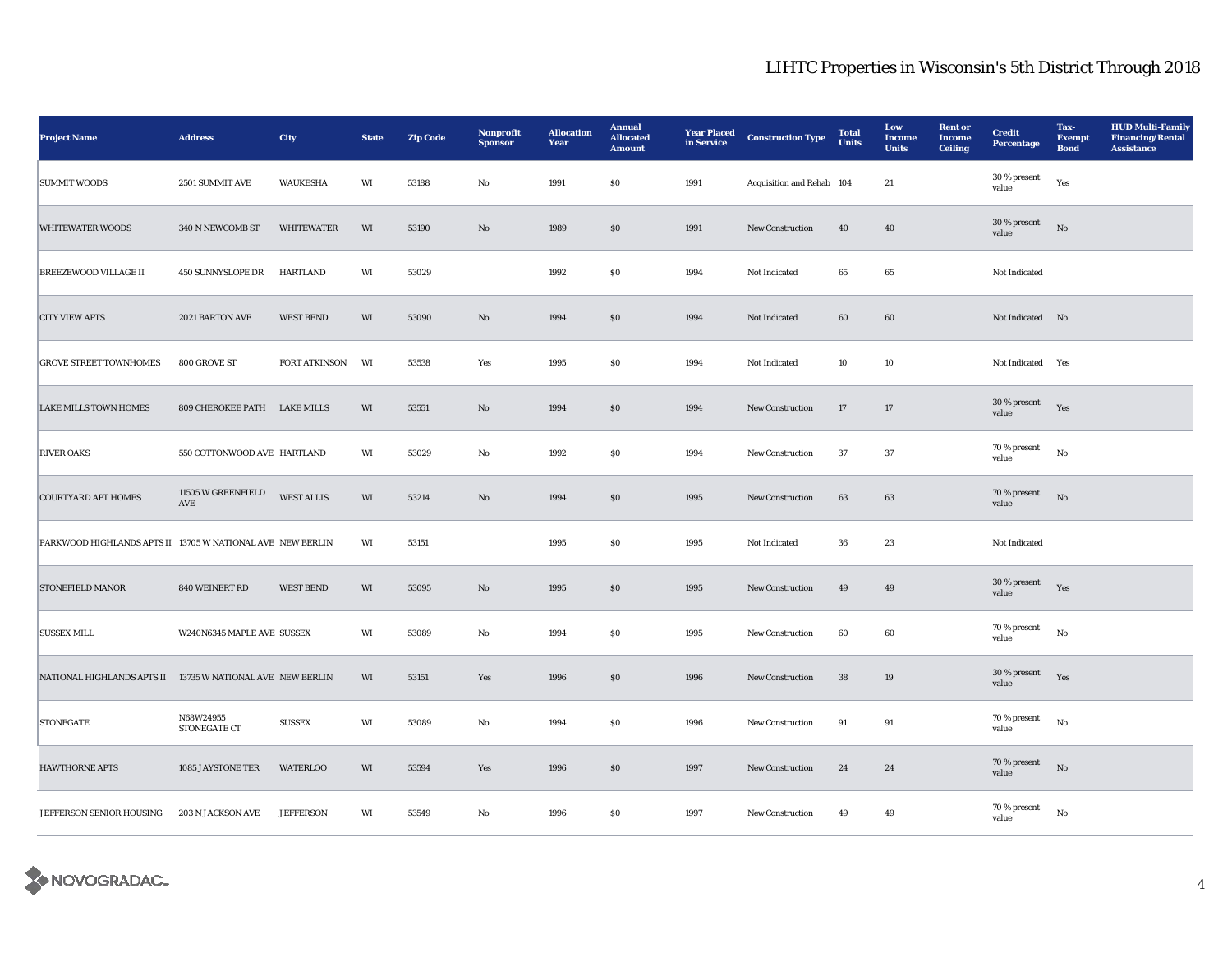| <b>Project Name</b>                                        | <b>Address</b>                             | City                 | <b>State</b> | <b>Zip Code</b> | Nonprofit<br><b>Sponsor</b> | <b>Allocation</b><br>Year | <b>Annual</b><br><b>Allocated</b><br><b>Amount</b> | <b>Year Placed</b><br>in Service | <b>Construction Type</b>  | <b>Total</b><br><b>Units</b> | Low<br><b>Income</b><br><b>Units</b> | <b>Rent or</b><br><b>Income</b><br><b>Ceiling</b> | <b>Credit</b><br>Percentage | Tax-<br><b>Exempt</b><br><b>Bond</b> | <b>HUD Multi-Family</b><br><b>Financing/Rental</b><br><b>Assistance</b> |
|------------------------------------------------------------|--------------------------------------------|----------------------|--------------|-----------------|-----------------------------|---------------------------|----------------------------------------------------|----------------------------------|---------------------------|------------------------------|--------------------------------------|---------------------------------------------------|-----------------------------|--------------------------------------|-------------------------------------------------------------------------|
| <b>SUMMIT WOODS</b>                                        | 2501 SUMMIT AVE                            | <b>WAUKESHA</b>      | WI           | 53188           | No                          | 1991                      | <b>SO</b>                                          | 1991                             | Acquisition and Rehab 104 |                              | 21                                   |                                                   | $30\,\%$ present<br>value   | Yes                                  |                                                                         |
| <b>WHITEWATER WOODS</b>                                    | 340 N NEWCOMB ST                           | WHITEWATER           | WI           | 53190           | $\rm No$                    | 1989                      | $\$0$                                              | 1991                             | New Construction          | 40                           | 40                                   |                                                   | 30 % present<br>value       | No                                   |                                                                         |
| <b>BREEZEWOOD VILLAGE II</b>                               | <b>450 SUNNYSLOPE DR</b>                   | HARTLAND             | WI           | 53029           |                             | 1992                      | $\$0$                                              | 1994                             | Not Indicated             | 65                           | 65                                   |                                                   | Not Indicated               |                                      |                                                                         |
| <b>CITY VIEW APTS</b>                                      | 2021 BARTON AVE                            | <b>WEST BEND</b>     | WI           | 53090           | $\rm No$                    | 1994                      | \$0                                                | 1994                             | Not Indicated             | 60                           | 60                                   |                                                   | Not Indicated No            |                                      |                                                                         |
| <b>GROVE STREET TOWNHOMES</b>                              | 800 GROVE ST                               | <b>FORT ATKINSON</b> | WI           | 53538           | Yes                         | 1995                      | <b>SO</b>                                          | 1994                             | Not Indicated             | 10                           | 10                                   |                                                   | Not Indicated Yes           |                                      |                                                                         |
| <b>LAKE MILLS TOWN HOMES</b>                               | 809 CHEROKEE PATH LAKE MILLS               |                      | WI           | 53551           | No                          | 1994                      | $\$0$                                              | 1994                             | <b>New Construction</b>   | 17                           | 17                                   |                                                   | 30 % present<br>value       | Yes                                  |                                                                         |
| <b>RIVER OAKS</b>                                          | 550 COTTONWOOD AVE HARTLAND                |                      | WI           | 53029           | No                          | 1992                      | ${\bf S0}$                                         | 1994                             | New Construction          | 37                           | 37                                   |                                                   | 70 % present<br>value       | $_{\rm No}$                          |                                                                         |
| <b>COURTYARD APT HOMES</b>                                 | 11505 W GREENFIELD<br>$\operatorname{AVE}$ | <b>WEST ALLIS</b>    | WI           | 53214           | $\rm No$                    | 1994                      | $\$0$                                              | 1995                             | New Construction          | 63                           | 63                                   |                                                   | 70 % present<br>value       | $_{\rm No}$                          |                                                                         |
| PARKWOOD HIGHLANDS APTS II 13705 W NATIONAL AVE NEW BERLIN |                                            |                      | WI           | 53151           |                             | 1995                      | $\$0$                                              | 1995                             | Not Indicated             | 36                           | 23                                   |                                                   | Not Indicated               |                                      |                                                                         |
| <b>STONEFIELD MANOR</b>                                    | 840 WEINERT RD                             | <b>WEST BEND</b>     | WI           | 53095           | $\rm No$                    | 1995                      | \$0                                                | 1995                             | <b>New Construction</b>   | 49                           | 49                                   |                                                   | 30 % present<br>value       | Yes                                  |                                                                         |
| <b>SUSSEX MILL</b>                                         | W240N6345 MAPLE AVE SUSSEX                 |                      | WI           | 53089           | $\rm No$                    | 1994                      | <b>SO</b>                                          | 1995                             | <b>New Construction</b>   | 60                           | 60                                   |                                                   | 70 % present<br>value       | No                                   |                                                                         |
| NATIONAL HIGHLANDS APTS II 13735 W NATIONAL AVE NEW BERLIN |                                            |                      | WI           | 53151           | Yes                         | 1996                      | $\$0$                                              | 1996                             | <b>New Construction</b>   | 38                           | 19                                   |                                                   | 30 % present<br>value       | Yes                                  |                                                                         |
| <b>STONEGATE</b>                                           | N68W24955<br>STONEGATE CT                  | <b>SUSSEX</b>        | WI           | 53089           | $\rm No$                    | 1994                      | $\$0$                                              | 1996                             | New Construction          | 91                           | 91                                   |                                                   | 70 % present<br>value       | No                                   |                                                                         |
| <b>HAWTHORNE APTS</b>                                      | 1085 JAYSTONE TER                          | <b>WATERLOO</b>      | WI           | 53594           | Yes                         | 1996                      | \$0                                                | 1997                             | <b>New Construction</b>   | 24                           | 24                                   |                                                   | 70 % present<br>value       | $\rm No$                             |                                                                         |
| JEFFERSON SENIOR HOUSING                                   | 203 N JACKSON AVE                          | <b>JEFFERSON</b>     | WI           | 53549           | $\rm No$                    | 1996                      | $\$0$                                              | 1997                             | New Construction          | 49                           | 49                                   |                                                   | 70 % present<br>value       | $_{\rm No}$                          |                                                                         |

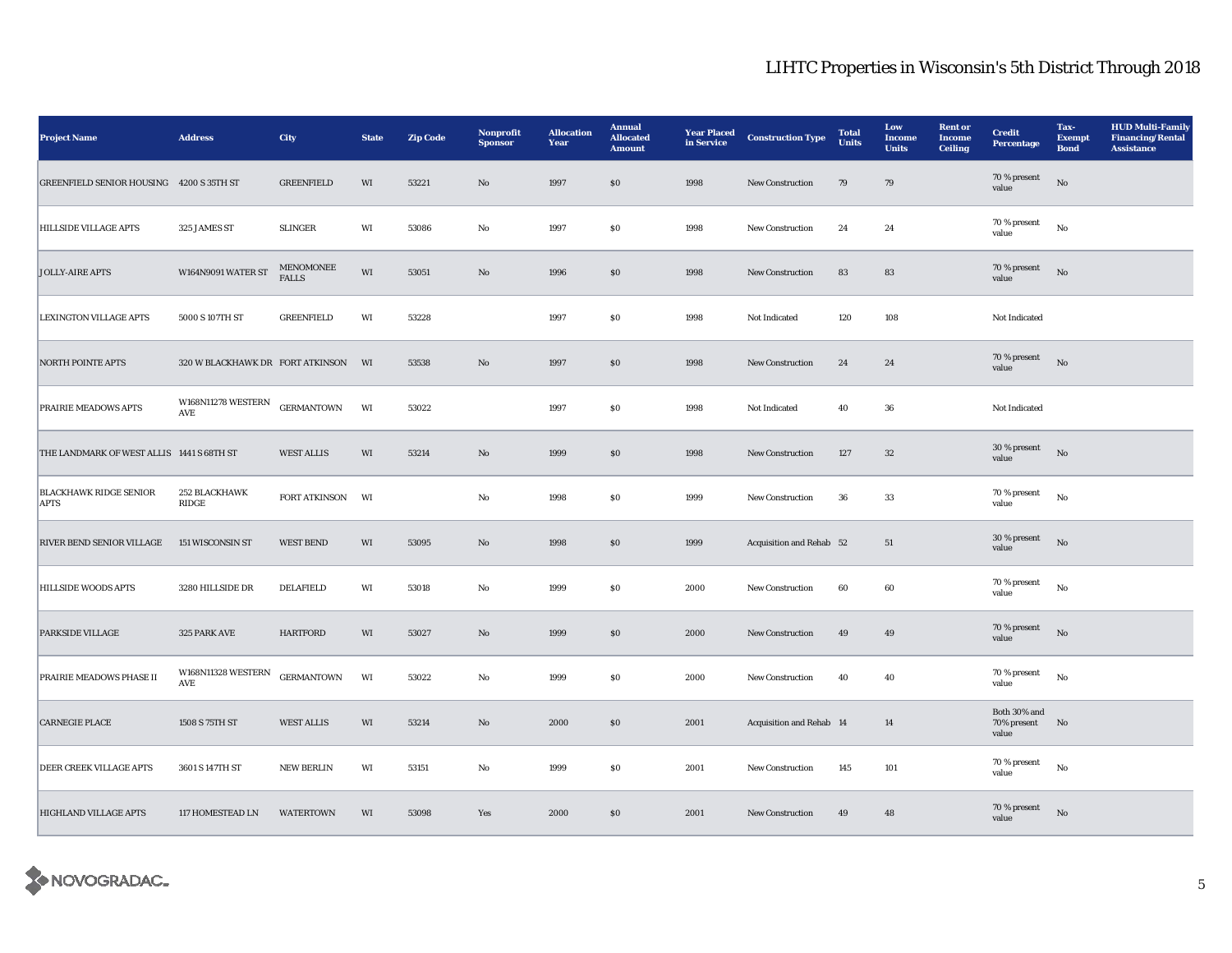| <b>Project Name</b>                          | <b>Address</b>                   | City                             | <b>State</b>           | <b>Zip Code</b> | Nonprofit<br><b>Sponsor</b> | <b>Allocation</b><br>Year | <b>Annual</b><br><b>Allocated</b><br><b>Amount</b> | <b>Year Placed</b><br>in Service | <b>Construction Type</b> | <b>Total</b><br><b>Units</b> | Low<br>Income<br><b>Units</b> | <b>Rent or</b><br><b>Income</b><br><b>Ceiling</b> | <b>Credit</b><br><b>Percentage</b>      | Tax-<br><b>Exempt</b><br><b>Bond</b> | <b>HUD Multi-Family</b><br><b>Financing/Rental</b><br><b>Assistance</b> |
|----------------------------------------------|----------------------------------|----------------------------------|------------------------|-----------------|-----------------------------|---------------------------|----------------------------------------------------|----------------------------------|--------------------------|------------------------------|-------------------------------|---------------------------------------------------|-----------------------------------------|--------------------------------------|-------------------------------------------------------------------------|
| GREENFIELD SENIOR HOUSING 4200 S 35TH ST     |                                  | <b>GREENFIELD</b>                | WI                     | 53221           | $\rm No$                    | 1997                      | $\$0$                                              | 1998                             | New Construction         | 79                           | 79                            |                                                   | 70 % present<br>value                   | No                                   |                                                                         |
| <b>HILLSIDE VILLAGE APTS</b>                 | 325 JAMES ST                     | <b>SLINGER</b>                   | WI                     | 53086           | $\rm No$                    | 1997                      | ${\bf S0}$                                         | 1998                             | New Construction         | 24                           | 24                            |                                                   | 70 % present<br>value                   | $_{\rm No}$                          |                                                                         |
| <b>JOLLY-AIRE APTS</b>                       | W164N9091 WATER ST               | <b>MENOMONEE</b><br><b>FALLS</b> | WI                     | 53051           | $\rm No$                    | 1996                      | $\$0$                                              | 1998                             | New Construction         | 83                           | 83                            |                                                   | 70 % present<br>value                   | $_{\rm No}$                          |                                                                         |
| <b>LEXINGTON VILLAGE APTS</b>                | 5000 S 107TH ST                  | <b>GREENFIELD</b>                | $\mathbf{W}\mathbf{I}$ | 53228           |                             | 1997                      | ${\bf S0}$                                         | 1998                             | Not Indicated            | 120                          | 108                           |                                                   | Not Indicated                           |                                      |                                                                         |
| <b>NORTH POINTE APTS</b>                     | 320 W BLACKHAWK DR FORT ATKINSON |                                  | WI                     | 53538           | $\rm No$                    | 1997                      | $\$0$                                              | 1998                             | New Construction         | 24                           | 24                            |                                                   | 70 % present<br>value                   | $_{\rm No}$                          |                                                                         |
| PRAIRIE MEADOWS APTS                         | <b>W168N11278 WESTERN</b><br>AVE | <b>GERMANTOWN</b>                | WI                     | 53022           |                             | 1997                      | ${\bf S0}$                                         | 1998                             | Not Indicated            | 40                           | 36                            |                                                   | Not Indicated                           |                                      |                                                                         |
| THE LANDMARK OF WEST ALLIS 1441 S 68TH ST    |                                  | <b>WEST ALLIS</b>                | WI                     | 53214           | $\rm No$                    | 1999                      | ${\bf S0}$                                         | 1998                             | New Construction         | 127                          | $32\,$                        |                                                   | 30 % present<br>value                   | No                                   |                                                                         |
| <b>BLACKHAWK RIDGE SENIOR</b><br><b>APTS</b> | 252 BLACKHAWK<br>RIDGE           | FORT ATKINSON                    | WI                     |                 | No                          | 1998                      | $\$0$                                              | 1999                             | New Construction         | 36                           | 33                            |                                                   | 70 % present<br>value                   | $_{\rm No}$                          |                                                                         |
| RIVER BEND SENIOR VILLAGE                    | 151 WISCONSIN ST                 | <b>WEST BEND</b>                 | $\rm WI$               | 53095           | $\rm No$                    | 1998                      | $\$0$                                              | 1999                             | Acquisition and Rehab 52 |                              | 51                            |                                                   | 30 % present<br>value                   | $_{\rm No}$                          |                                                                         |
| <b>HILLSIDE WOODS APTS</b>                   | 3280 HILLSIDE DR                 | <b>DELAFIELD</b>                 | WI                     | 53018           | $\rm No$                    | 1999                      | $\$0$                                              | 2000                             | New Construction         | 60                           | 60                            |                                                   | 70 % present<br>value                   | No                                   |                                                                         |
| PARKSIDE VILLAGE                             | 325 PARK AVE                     | <b>HARTFORD</b>                  | WI                     | 53027           | $\rm No$                    | 1999                      | $\$0$                                              | 2000                             | New Construction         | 49                           | 49                            |                                                   | 70 % present<br>value                   | $\rm No$                             |                                                                         |
| PRAIRIE MEADOWS PHASE II                     | W168N11328 WESTERN<br><b>AVE</b> | <b>GERMANTOWN</b>                | WI                     | 53022           | No                          | 1999                      | ${\bf S0}$                                         | 2000                             | New Construction         | 40                           | 40                            |                                                   | 70 % present<br>value                   | $_{\rm No}$                          |                                                                         |
| <b>CARNEGIE PLACE</b>                        | 1508 S 75TH ST                   | <b>WEST ALLIS</b>                | $\rm WI$               | 53214           | $\rm No$                    | 2000                      | $\$0$                                              | 2001                             | Acquisition and Rehab 14 |                              | 14                            |                                                   | Both 30% and<br>70% present No<br>value |                                      |                                                                         |
| DEER CREEK VILLAGE APTS                      | 3601 S 147TH ST                  | <b>NEW BERLIN</b>                | WI                     | 53151           | No                          | 1999                      | $\$0$                                              | 2001                             | New Construction         | 145                          | 101                           |                                                   | 70 % present<br>value                   | $\rm No$                             |                                                                         |
| HIGHLAND VILLAGE APTS                        | 117 HOMESTEAD LN                 | <b>WATERTOWN</b>                 | WI                     | 53098           | Yes                         | 2000                      | $\$0$                                              | 2001                             | New Construction         | 49                           | 48                            |                                                   | 70 % present<br>value                   | $_{\rm No}$                          |                                                                         |